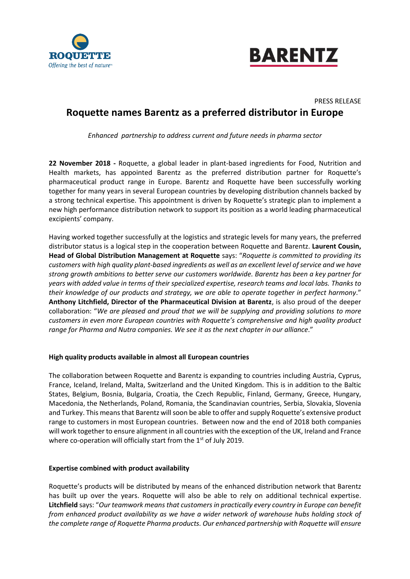



# PRESS RELEASE **Roquette names Barentz as a preferred distributor in Europe**

*Enhanced partnership to address current and future needs in pharma sector*

**22 November 2018 -** Roquette, a global leader in plant-based ingredients for Food, Nutrition and Health markets, has appointed Barentz as the preferred distribution partner for Roquette's pharmaceutical product range in Europe. Barentz and Roquette have been successfully working together for many years in several European countries by developing distribution channels backed by a strong technical expertise. This appointment is driven by Roquette's strategic plan to implement a new high performance distribution network to support its position as a world leading pharmaceutical excipients' company.

Having worked together successfully at the logistics and strategic levels for many years, the preferred distributor status is a logical step in the cooperation between Roquette and Barentz. **Laurent Cousin, Head of Global Distribution Management at Roquette** says: "*Roquette is committed to providing its customers with high quality plant-based ingredients as well as an excellent level of service and we have strong growth ambitions to better serve our customers worldwide. Barentz has been a key partner for years with added value in terms of their specialized expertise, research teams and local labs. Thanks to their knowledge of our products and strategy, we are able to operate together in perfect harmony*." **Anthony Litchfield, Director of the Pharmaceutical Division at Barentz**, is also proud of the deeper collaboration: "*We are pleased and proud that we will be supplying and providing solutions to more customers in even more European countries with Roquette's comprehensive and high quality product range for Pharma and Nutra companies. We see it as the next chapter in our alliance*."

## **High quality products available in almost all European countries**

The collaboration between Roquette and Barentz is expanding to countries including Austria, Cyprus, France, Iceland, Ireland, Malta, Switzerland and the United Kingdom. This is in addition to the Baltic States, Belgium, Bosnia, Bulgaria, Croatia, the Czech Republic, Finland, Germany, Greece, Hungary, Macedonia, the Netherlands, Poland, Romania, the Scandinavian countries, Serbia, Slovakia, Slovenia and Turkey. This means that Barentz will soon be able to offer and supply Roquette's extensive product range to customers in most European countries. Between now and the end of 2018 both companies will work together to ensure alignment in all countries with the exception of the UK, Ireland and France where co-operation will officially start from the 1<sup>st</sup> of July 2019.

## **Expertise combined with product availability**

Roquette's products will be distributed by means of the enhanced distribution network that Barentz has built up over the years. Roquette will also be able to rely on additional technical expertise. **Litchfield** says: "*Our teamwork means that customers in practically every country in Europe can benefit from enhanced product availability as we have a wider network of warehouse hubs holding stock of the complete range of Roquette Pharma products. Our enhanced partnership with Roquette will ensure*